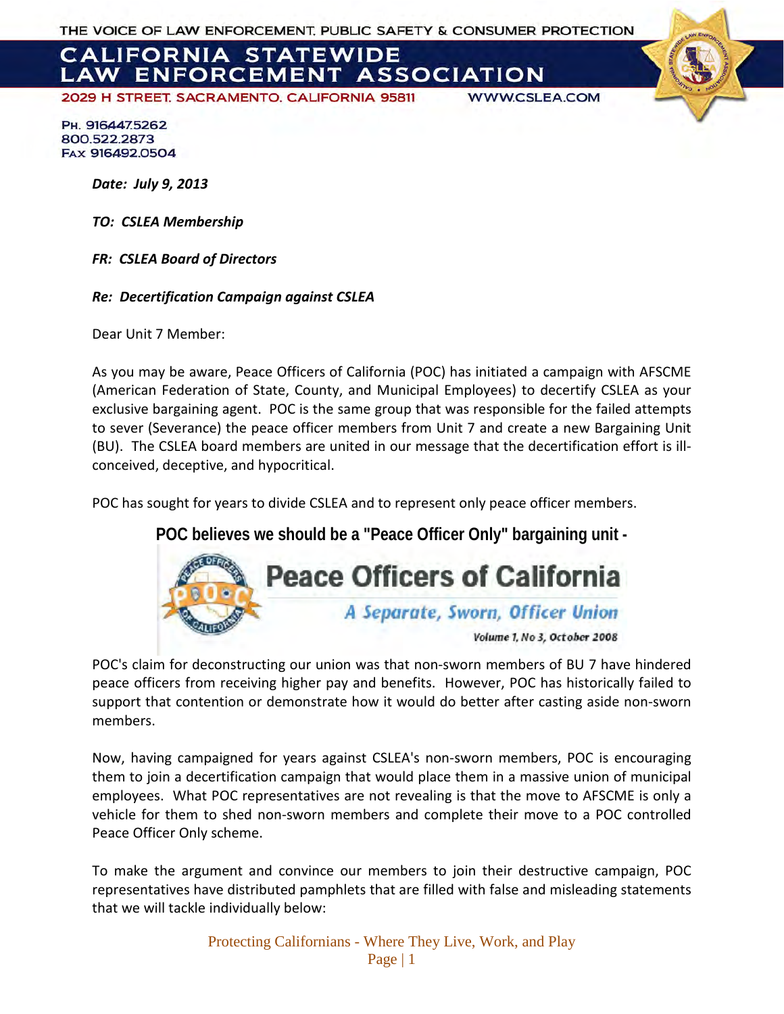THE VOICE OF LAW ENFORCEMENT. PUBLIC SAFETY & CONSUMER PROTECTION

# **CALIFORNIA STATEWIDE LAW ENFORCEMENT ASSOCIATION**

2029 H STREET, SACRAMENTO, CALIFORNIA 95811

**WWW.CSLEA.COM** 

PH. 9164475262 800.522.2873 FAX 916492.0504

*Date: July 9, 2013*

*TO: CSLEA Membership*

*FR: CSLEA Board of Directors*

*Re: Decertification Campaign against CSLEA* 

Dear Unit 7 Member:

As you may be aware, Peace Officers of California (POC) has initiated a campaign with AFSCME (American Federation of State, County, and Municipal Employees) to decertify CSLEA as your exclusive bargaining agent. POC is the same group that was responsible for the failed attempts to sever (Severance) the peace officer members from Unit 7 and create a new Bargaining Unit (BU). The CSLEA board members are united in our message that the decertification effort is illconceived, deceptive, and hypocritical.

POC has sought for years to divide CSLEA and to represent only peace officer members.

**POC believes we should be a "Peace Officer Only" bargaining unit -** 



POC's claim for deconstructing our union was that non-sworn members of BU 7 have hindered peace officers from receiving higher pay and benefits. However, POC has historically failed to support that contention or demonstrate how it would do better after casting aside non-sworn members.

Now, having campaigned for years against CSLEA's non-sworn members, POC is encouraging them to join a decertification campaign that would place them in a massive union of municipal employees. What POC representatives are not revealing is that the move to AFSCME is only a vehicle for them to shed non-sworn members and complete their move to a POC controlled Peace Officer Only scheme.

To make the argument and convince our members to join their destructive campaign, POC representatives have distributed pamphlets that are filled with false and misleading statements that we will tackle individually below:

> Protecting Californians - Where They Live, Work, and Play Page | 1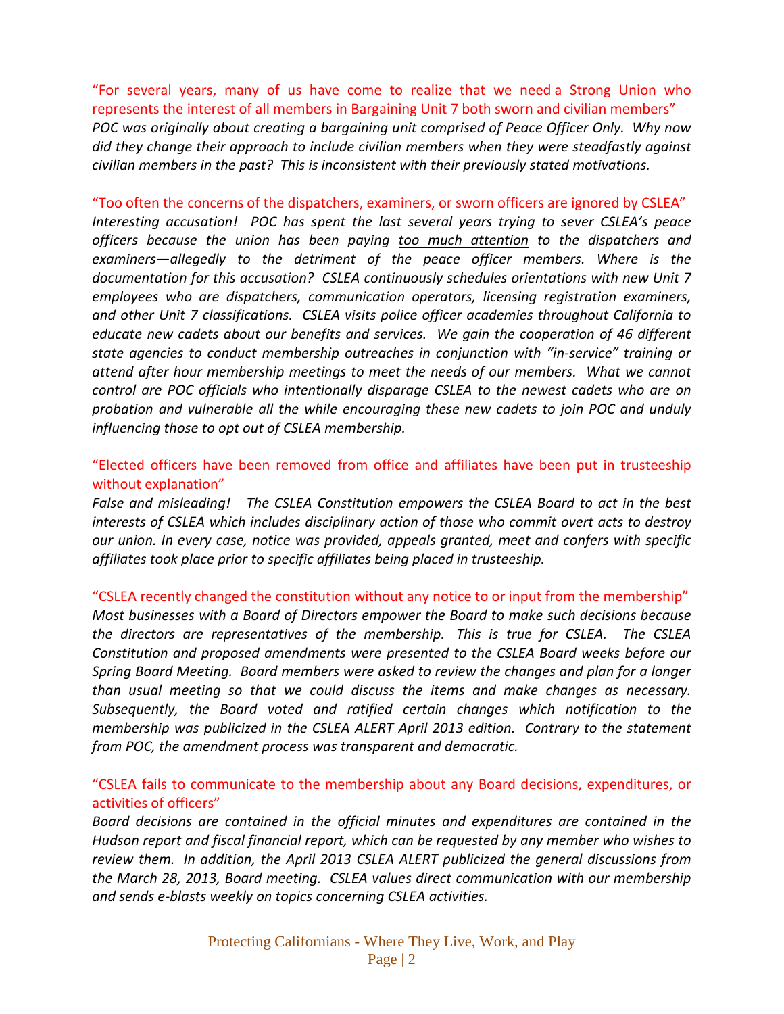"For several years, many of us have come to realize that we need a Strong Union who represents the interest of all members in Bargaining Unit 7 both sworn and civilian members" *POC was originally about creating a bargaining unit comprised of Peace Officer Only. Why now did they change their approach to include civilian members when they were steadfastly against civilian members in the past? This is inconsistent with their previously stated motivations.*

## "Too often the concerns of the dispatchers, examiners, or sworn officers are ignored by CSLEA" *Interesting accusation! POC has spent the last several years trying to sever CSLEA's peace officers because the union has been paying too much attention to the dispatchers and examiners—allegedly to the detriment of the peace officer members. Where is the documentation for this accusation? CSLEA continuously schedules orientations with new Unit 7 employees who are dispatchers, communication operators, licensing registration examiners, and other Unit 7 classifications. CSLEA visits police officer academies throughout California to educate new cadets about our benefits and services. We gain the cooperation of 46 different state agencies to conduct membership outreaches in conjunction with "in-service" training or attend after hour membership meetings to meet the needs of our members. What we cannot control are POC officials who intentionally disparage CSLEA to the newest cadets who are on probation and vulnerable all the while encouraging these new cadets to join POC and unduly influencing those to opt out of CSLEA membership.*

#### "Elected officers have been removed from office and affiliates have been put in trusteeship without explanation"

*False and misleading! The CSLEA Constitution empowers the CSLEA Board to act in the best interests of CSLEA which includes disciplinary action of those who commit overt acts to destroy our union. In every case, notice was provided, appeals granted, meet and confers with specific affiliates took place prior to specific affiliates being placed in trusteeship.* 

"CSLEA recently changed the constitution without any notice to or input from the membership" *Most businesses with a Board of Directors empower the Board to make such decisions because the directors are representatives of the membership. This is true for CSLEA. The CSLEA Constitution and proposed amendments were presented to the CSLEA Board weeks before our Spring Board Meeting. Board members were asked to review the changes and plan for a longer than usual meeting so that we could discuss the items and make changes as necessary. Subsequently, the Board voted and ratified certain changes which notification to the membership was publicized in the CSLEA ALERT April 2013 edition. Contrary to the statement from POC, the amendment process was transparent and democratic.*

### "CSLEA fails to communicate to the membership about any Board decisions, expenditures, or activities of officers"

*Board decisions are contained in the official minutes and expenditures are contained in the Hudson report and fiscal financial report, which can be requested by any member who wishes to review them. In addition, the April 2013 CSLEA ALERT publicized the general discussions from the March 28, 2013, Board meeting. CSLEA values direct communication with our membership and sends e-blasts weekly on topics concerning CSLEA activities.*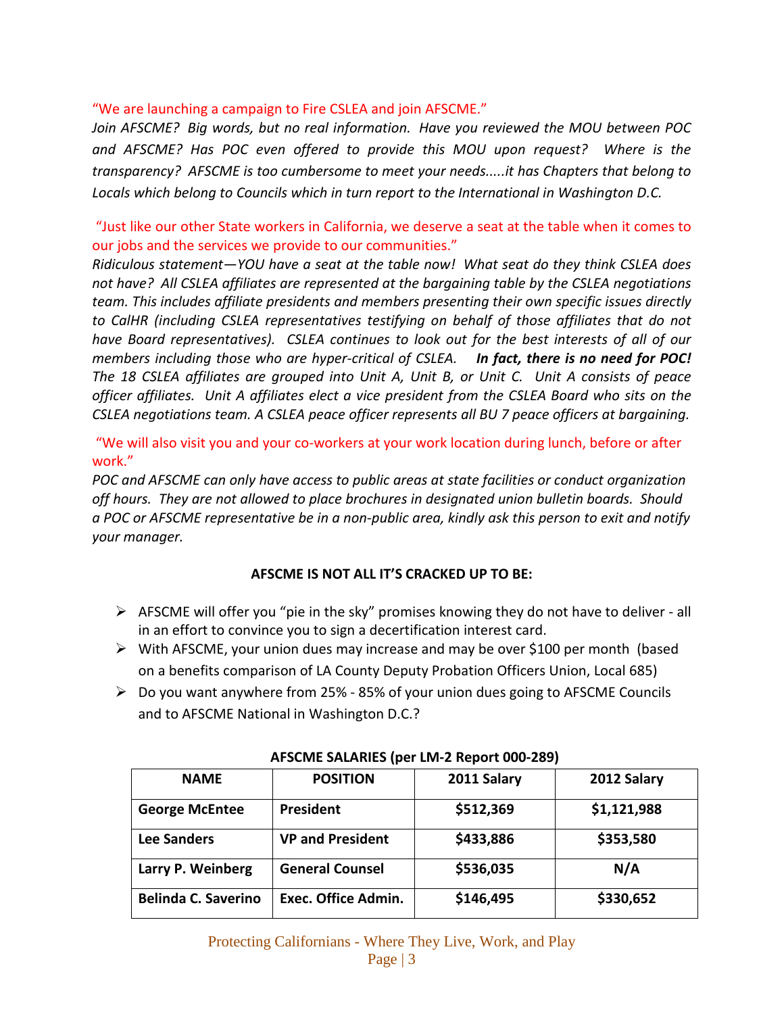"We are launching a campaign to Fire CSLEA and join AFSCME."

*Join AFSCME? Big words, but no real information. Have you reviewed the MOU between POC and AFSCME? Has POC even offered to provide this MOU upon request? Where is the transparency? AFSCME is too cumbersome to meet your needs.....it has Chapters that belong to Locals which belong to Councils which in turn report to the International in Washington D.C.* 

"Just like our other State workers in California, we deserve a seat at the table when it comes to our jobs and the services we provide to our communities."

*Ridiculous statement—YOU have a seat at the table now! What seat do they think CSLEA does not have? All CSLEA affiliates are represented at the bargaining table by the CSLEA negotiations team. This includes affiliate presidents and members presenting their own specific issues directly to CalHR (including CSLEA representatives testifying on behalf of those affiliates that do not have Board representatives). CSLEA continues to look out for the best interests of all of our members including those who are hyper-critical of CSLEA. In fact, there is no need for POC! The 18 CSLEA affiliates are grouped into Unit A, Unit B, or Unit C. Unit A consists of peace officer affiliates. Unit A affiliates elect a vice president from the CSLEA Board who sits on the CSLEA negotiations team. A CSLEA peace officer represents all BU 7 peace officers at bargaining.*

"We will also visit you and your co-workers at your work location during lunch, before or after work."

*POC and AFSCME can only have access to public areas at state facilities or conduct organization off hours. They are not allowed to place brochures in designated union bulletin boards. Should a POC or AFSCME representative be in a non-public area, kindly ask this person to exit and notify your manager.*

#### **AFSCME IS NOT ALL IT'S CRACKED UP TO BE:**

- $\triangleright$  AFSCME will offer you "pie in the sky" promises knowing they do not have to deliver all in an effort to convince you to sign a decertification interest card.
- $\triangleright$  With AFSCME, your union dues may increase and may be over \$100 per month (based on a benefits comparison of LA County Deputy Probation Officers Union, Local 685)
- $\triangleright$  Do you want anywhere from 25% 85% of your union dues going to AFSCME Councils and to AFSCME National in Washington D.C.?

| <b>NAME</b>                | <b>POSITION</b>            | 2011 Salary | 2012 Salary |
|----------------------------|----------------------------|-------------|-------------|
| <b>George McEntee</b>      | President                  | \$512,369   | \$1,121,988 |
| <b>Lee Sanders</b>         | <b>VP and President</b>    | \$433,886   | \$353,580   |
| Larry P. Weinberg          | <b>General Counsel</b>     | \$536,035   | N/A         |
| <b>Belinda C. Saverino</b> | <b>Exec. Office Admin.</b> | \$146,495   | \$330,652   |